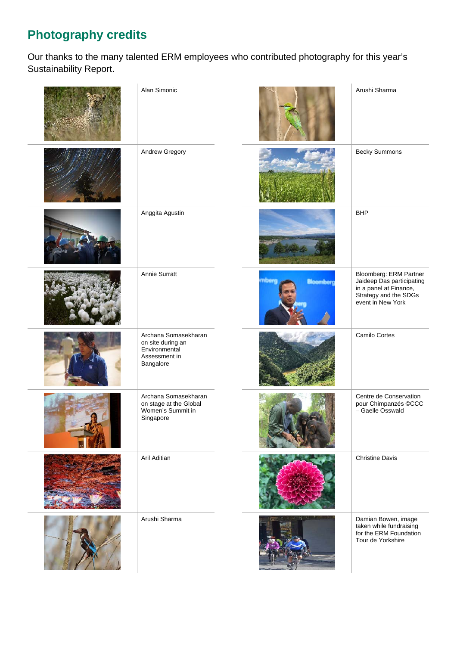## **Photography credits**

Our thanks to the many talented ERM employees who contributed photography for this year's Sustainability Report.

| Alan Simonic                                                                             |                           | Arushi Sharma                                                                                                               |
|------------------------------------------------------------------------------------------|---------------------------|-----------------------------------------------------------------------------------------------------------------------------|
| Andrew Gregory                                                                           |                           | <b>Becky Summons</b>                                                                                                        |
| Anggita Agustin                                                                          |                           | <b>BHP</b>                                                                                                                  |
| Annie Surratt                                                                            | mberg<br><b>Bioomberg</b> | Bloomberg: ERM Partner<br>Jaideep Das participating<br>in a panel at Finance,<br>Strategy and the SDGs<br>event in New York |
| Archana Somasekharan<br>on site during an<br>Environmental<br>Assessment in<br>Bangalore |                           | Camilo Cortes                                                                                                               |
| Archana Somasekharan<br>on stage at the Global<br>Women's Summit in<br>Singapore         |                           | Centre de Conservation<br>pour Chimpanzés ©CCC<br>- Gaelle Osswald                                                          |
| Aril Aditian                                                                             |                           | <b>Christine Davis</b>                                                                                                      |
| Arushi Sharma                                                                            |                           | Damian Bowen, image<br>taken while fundraising<br>for the ERM Foundation<br>Tour de Yorkshire                               |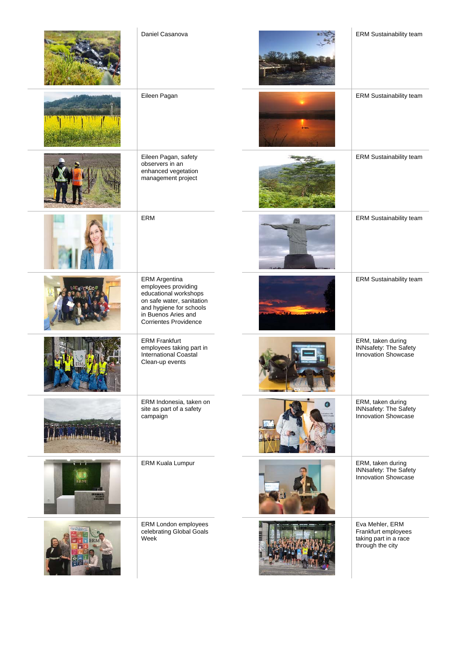|            | Daniel Casanova                                                                                                                                                                     | ERM Sustainability team                                                             |
|------------|-------------------------------------------------------------------------------------------------------------------------------------------------------------------------------------|-------------------------------------------------------------------------------------|
|            | Eileen Pagan                                                                                                                                                                        | ERM Sustainability team                                                             |
|            | Eileen Pagan, safety<br>observers in an<br>enhanced vegetation<br>management project                                                                                                | ERM Sustainability team                                                             |
|            | ERM                                                                                                                                                                                 | ERM Sustainability team                                                             |
|            | <b>ERM</b> Argentina<br>employees providing<br>educational workshops<br>on safe water, sanitation<br>and hygiene for schools<br>in Buenos Aries and<br><b>Corrientes Providence</b> | ERM Sustainability team                                                             |
|            | <b>ERM Frankfurt</b><br>employees taking part in<br>International Coastal<br>Clean-up events                                                                                        | ERM, taken during<br>INNsafety: The Safety<br>Innovation Showcase                   |
|            | ERM Indonesia, taken on<br>site as part of a safety<br>campaign                                                                                                                     | ERM, taken during<br><b>INNsafety: The Safety</b><br>Innovation Showcase            |
| <b>HRM</b> | <b>ERM Kuala Lumpur</b>                                                                                                                                                             | ERM, taken during<br><b>INNsafety: The Safety</b><br>Innovation Showcase            |
|            | ERM London employees<br>celebrating Global Goals<br>Week                                                                                                                            | Eva Mehler, ERM<br>Frankfurt employees<br>taking part in a race<br>through the city |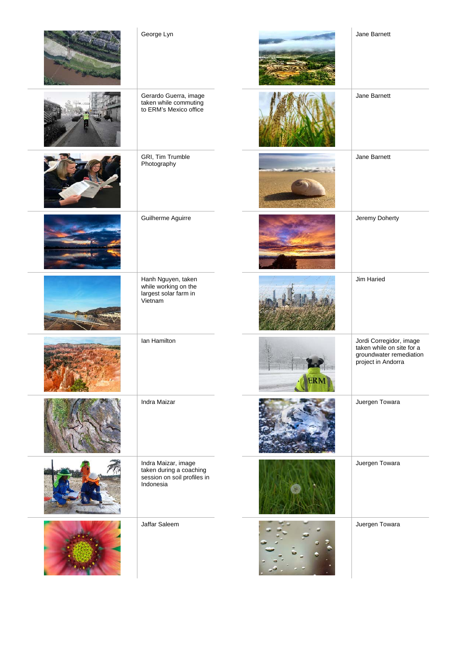| George Lyn                                                                                 |            | Jane Barnett                                                                                          |
|--------------------------------------------------------------------------------------------|------------|-------------------------------------------------------------------------------------------------------|
| Gerardo Guerra, image<br>taken while commuting<br>to ERM's Mexico office                   |            | Jane Barnett                                                                                          |
| GRI, Tim Trumble<br>Photography                                                            |            | Jane Barnett                                                                                          |
| Guilherme Aguirre                                                                          |            | Jeremy Doherty                                                                                        |
| Hanh Nguyen, taken<br>while working on the<br>largest solar farm in<br>Vietnam             |            | Jim Haried                                                                                            |
| Ian Hamilton                                                                               | <b>ERM</b> | Jordi Corregidor, image<br>taken while on site for a<br>groundwater remediation<br>project in Andorra |
| Indra Maizar                                                                               |            | Juergen Towara                                                                                        |
| Indra Maizar, image<br>taken during a coaching<br>session on soil profiles in<br>Indonesia |            | Juergen Towara                                                                                        |
| Jaffar Saleem                                                                              |            | Juergen Towara                                                                                        |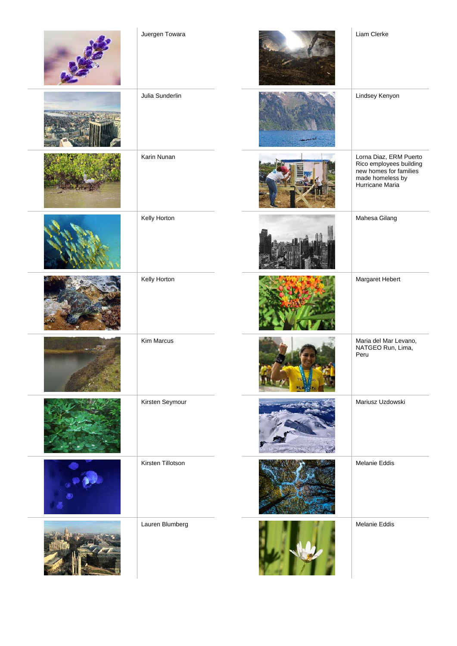| Juergen Towara    | Liam Clerke                                                                                                        |
|-------------------|--------------------------------------------------------------------------------------------------------------------|
| Julia Sunderlin   | Lindsey Kenyon                                                                                                     |
| Karin Nunan       | Lorna Diaz, ERM Puerto<br>Rico employees building<br>new homes for families<br>made homeless by<br>Hurricane Maria |
| Kelly Horton      | Mahesa Gilang                                                                                                      |
| Kelly Horton      | Margaret Hebert                                                                                                    |
| Kim Marcus        | Maria del Mar Levano,<br>NATGEO Run, Lima,<br>Peru                                                                 |
| Kirsten Seymour   | Mariusz Uzdowski                                                                                                   |
| Kirsten Tillotson | Melanie Eddis                                                                                                      |
| Lauren Blumberg   | Melanie Eddis                                                                                                      |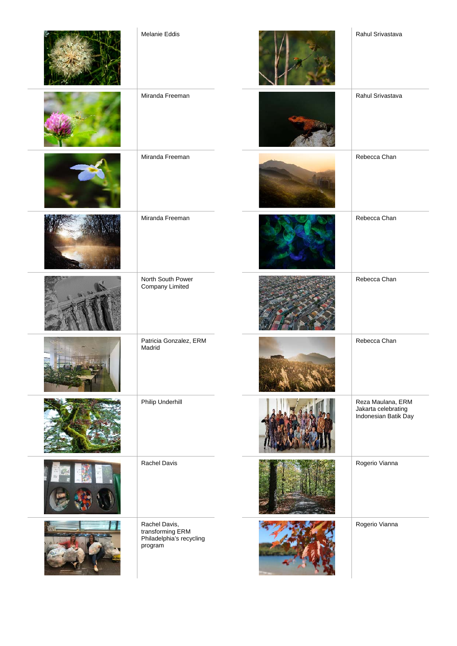| Melanie Eddis                                                            | Rahul Srivastava                                                 |
|--------------------------------------------------------------------------|------------------------------------------------------------------|
| Miranda Freeman                                                          | Rahul Srivastava                                                 |
| Miranda Freeman                                                          | Rebecca Chan                                                     |
| Miranda Freeman                                                          | Rebecca Chan                                                     |
| North South Power<br>Company Limited                                     | Rebecca Chan                                                     |
| Patricia Gonzalez, ERM<br>Madrid                                         | Rebecca Chan                                                     |
| <b>Philip Underhill</b>                                                  | Reza Maulana, ERM<br>Jakarta celebrating<br>Indonesian Batik Day |
| Rachel Davis                                                             | Rogerio Vianna                                                   |
| Rachel Davis,<br>transforming ERM<br>Philadelphia's recycling<br>program | Rogerio Vianna                                                   |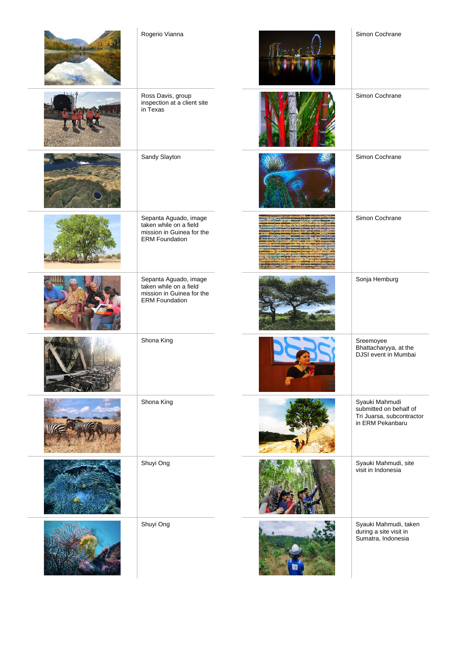| Rogerio Vianna                                                                                        | Simon Cochrane                                                                            |
|-------------------------------------------------------------------------------------------------------|-------------------------------------------------------------------------------------------|
| Ross Davis, group<br>inspection at a client site<br>in Texas                                          | Simon Cochrane                                                                            |
| Sandy Slayton                                                                                         | Simon Cochrane                                                                            |
| Sepanta Aguado, image<br>taken while on a field<br>mission in Guinea for the<br><b>ERM Foundation</b> | Simon Cochrane                                                                            |
| Sepanta Aguado, image<br>taken while on a field<br>mission in Guinea for the<br><b>ERM Foundation</b> | Sonja Hemburg                                                                             |
| Shona King                                                                                            | Sreemoyee<br>Bhattacharyya, at the<br>DJSI event in Mumbai                                |
| Shona King                                                                                            | Syauki Mahmudi<br>submitted on behalf of<br>Tri Juarsa, subcontractor<br>in ERM Pekanbaru |
| Shuyi Ong                                                                                             | Syauki Mahmudi, site<br>visit in Indonesia                                                |
| Shuyi Ong                                                                                             | Syauki Mahmudi, taken<br>during a site visit in<br>Sumatra, Indonesia                     |